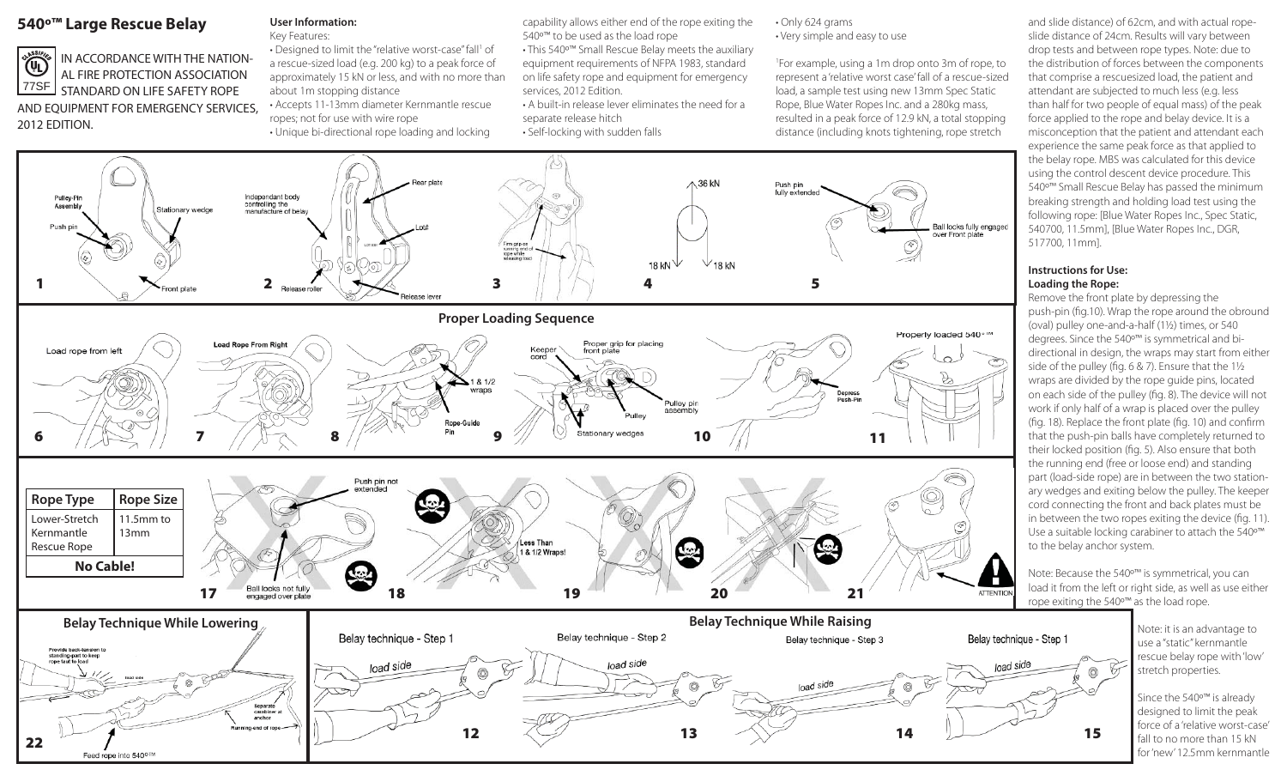# **540º™ Large Rescue Belay**

Feed rope into 540°™



## STANDARD ON LIFE SAFETY ROPE AND EQUIPMENT FOR EMERGENCY SERVICES, 2012 EDITION.

# **User Information:**

Key Features: • Designed to limit the "relative worst-case" fall<sup>1</sup> of a rescue-sized load (e.g. 200 kg) to a peak force of approximately 15 kN or less, and with no more than about 1m stopping distance • Accepts 11-13mm diameter Kernmantle rescue

- ropes; not for use with wire rope • Unique bi-directional rope loading and locking
- capability allows either end of the rope exiting the 540º™ to be used as the load rope
- This 540º™ Small Rescue Belay meets the auxiliary equipment requirements of NFPA 1983, standard on life safety rope and equipment for emergency services, 2012 Edition.
- A built-in release lever eliminates the need for a separate release hitch • Self-locking with sudden falls

### • Only 624 grams • Very simple and easy to use

1For example, using a 1m drop onto 3m of rope, to represent a 'relative worst case' fall of a rescue-sized load, a sample test using new 13mm Spec Static Rope, Blue Water Ropes Inc. and a 280kg mass, resulted in a peak force of 12.9 kN, a total stopping distance (including knots tightening, rope stretch



and slide distance) of 62cm, and with actual ropeslide distance of 24cm. Results will vary between drop tests and between rope types. Note: due to the distribution of forces between the components that comprise a rescuesized load, the patient and attendant are subjected to much less (e.g. less than half for two people of equal mass) of the peak force applied to the rope and belay device. It is a misconception that the patient and attendant each experience the same peak force as that applied to the belay rope. MBS was calculated for this device using the control descent device procedure. This 540º™ Small Rescue Belay has passed the minimum breaking strength and holding load test using the following rope: [Blue Water Ropes Inc., Spec Static, 540700, 11.5mm], [Blue Water Ropes Inc., DGR, 517700, 11mm].

## **Instructions for Use:Loading the Rope:**

Remove the front plate by depressing the push-pin (fig.10). Wrap the rope around the obround (oval) pulley one-and-a-half (1½) times, or 540 degrees. Since the 540º™ is symmetrical and bidirectional in design, the wraps may start from either side of the pulley (fig. 6 & 7). Ensure that the  $1\frac{1}{2}$ wraps are divided by the rope guide pins, located on each side of the pulley (fig. 8). The device will not work if only half of a wrap is placed over the pulley (fig. 18). Replace the front plate (fig. 10) and confirm that the push-pin balls have completely returned to their locked position (fig. 5). Also ensure that both the running end (free or loose end) and standing part (load-side rope) are in between the two stationary wedges and exiting below the pulley. The keeper cord connecting the front and back plates must be in between the two ropes exiting the device (fig. 11). Use a suitable locking carabiner to attach the 540º™ to the belay anchor system.

Note: Because the 540<sup>o™</sup> is symmetrical, you can load it from the left or right side, as well as use either rope exiting the 540º™ as the load rope.

> Note: it is an advantage to use a "static" kernmantle rescue belay rope with 'low' stretch properties.

Since the 540º™ is already designed to limit the peak force of a 'relative worst-case' fall to no more than 15 kN for 'new' 12.5mm kernmantle